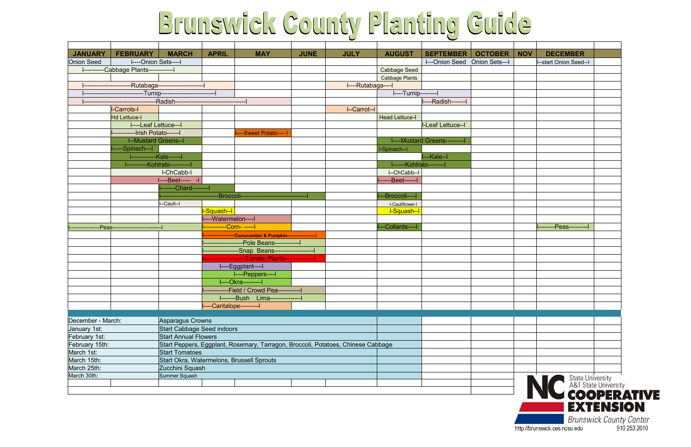## Brunswick County Planting Guide

| <b>JANUARY</b>    | <b>FEBRUARY</b>                                           | <b>MARCH</b>                                                                                                    | <b>APRIL</b>                                                                                           | <b>MAY</b>                                                             | <b>JUNE</b> | <b>JULY</b>        | <b>AUGUST</b>           | <b>SEPTEMBER</b>                     | <b>OCTOBER</b> | <b>NOV</b> | <b>DECEMBER</b>       |
|-------------------|-----------------------------------------------------------|-----------------------------------------------------------------------------------------------------------------|--------------------------------------------------------------------------------------------------------|------------------------------------------------------------------------|-------------|--------------------|-------------------------|--------------------------------------|----------------|------------|-----------------------|
| <b>Onion Seed</b> | I----Onion Sets----I                                      |                                                                                                                 |                                                                                                        |                                                                        |             |                    |                         | I---Onion Seed Onion Sets---I        |                |            | --start Onion Seed--I |
|                   | ----------Cabbage Plants------------                      |                                                                                                                 |                                                                                                        |                                                                        |             |                    | <b>Cabbage Seed</b>     |                                      |                |            |                       |
|                   |                                                           |                                                                                                                 |                                                                                                        |                                                                        |             |                    | <b>Cabbage Plants</b>   |                                      |                |            |                       |
|                   | -----------------------Rutabaga----------------------     |                                                                                                                 |                                                                                                        |                                                                        |             | I----Rutabaga----I |                         |                                      |                |            |                       |
|                   | --------------------------Turnip------------------------- |                                                                                                                 |                                                                                                        |                                                                        |             |                    | I----Turnip--------I    |                                      |                |            |                       |
|                   |                                                           |                                                                                                                 |                                                                                                        |                                                                        |             |                    |                         | ----Radish--------                   |                |            |                       |
|                   | <b>I-Carrots-I</b>                                        |                                                                                                                 |                                                                                                        |                                                                        |             | I--Carrot--I       |                         |                                      |                |            |                       |
|                   | <b>Hd Lettuce-I</b>                                       |                                                                                                                 |                                                                                                        |                                                                        |             |                    | <b>Head Lettuce-I</b>   |                                      |                |            |                       |
|                   | I----Leaf Lettuce---I                                     |                                                                                                                 |                                                                                                        |                                                                        |             |                    |                         | I-Leaf Lettuce--I                    |                |            |                       |
|                   | -----------Irish Potato------I                            |                                                                                                                 |                                                                                                        | ---Sweet Potato---- I                                                  |             |                    |                         |                                      |                |            |                       |
|                   | <b>I--Mustard Greens--I</b>                               |                                                                                                                 |                                                                                                        |                                                                        |             |                    |                         | <b>I----Mustard Greens---------l</b> |                |            |                       |
|                   | ---Spinach---I                                            |                                                                                                                 |                                                                                                        |                                                                        |             |                    | I-Spinach--I            |                                      |                |            |                       |
|                   | ------------Kale------                                    |                                                                                                                 |                                                                                                        |                                                                        |             |                    |                         | ---Kale--l                           |                |            |                       |
|                   |                                                           | ----------Kohlrabi----------                                                                                    |                                                                                                        |                                                                        |             |                    | ------Kohlrabi--------- |                                      |                |            |                       |
|                   |                                                           | I-ChCabb-I                                                                                                      |                                                                                                        |                                                                        |             |                    | I--ChCabb--I            |                                      |                |            |                       |
|                   |                                                           | I----Beet----- -I                                                                                               |                                                                                                        |                                                                        |             |                    | --Beet------I           |                                      |                |            |                       |
|                   |                                                           | -------Chard--------                                                                                            |                                                                                                        |                                                                        |             |                    |                         |                                      |                |            |                       |
|                   |                                                           |                                                                                                                 |                                                                                                        | -----------------------------Broccoli--------------------------------- |             |                    | -Broccoli----I          |                                      |                |            |                       |
|                   |                                                           | --Cauli--l                                                                                                      |                                                                                                        |                                                                        |             |                    | <b>I-Cauliflower-I</b>  |                                      |                |            |                       |
|                   |                                                           |                                                                                                                 | -Squash--I                                                                                             |                                                                        |             |                    | I-Squash--I             |                                      |                |            |                       |
|                   |                                                           |                                                                                                                 | ----Watermelon----l                                                                                    |                                                                        |             |                    |                         |                                      |                |            |                       |
|                   |                                                           |                                                                                                                 |                                                                                                        |                                                                        |             |                    | --Collards----          |                                      |                |            | --------Peas--------- |
|                   |                                                           |                                                                                                                 |                                                                                                        |                                                                        |             |                    |                         |                                      |                |            |                       |
|                   |                                                           |                                                                                                                 | ---------------Cucucumber & Pumpkin------------------- <br>--------------------Pole Beans------------- |                                                                        |             |                    |                         |                                      |                |            |                       |
|                   |                                                           |                                                                                                                 |                                                                                                        | -----------------Snap Beans--------------------                        |             |                    |                         |                                      |                |            |                       |
|                   |                                                           |                                                                                                                 |                                                                                                        | -------------------Tomato Plants----------------                       |             |                    |                         |                                      |                |            |                       |
|                   |                                                           |                                                                                                                 |                                                                                                        | I----Eggplant----I                                                     |             |                    |                         |                                      |                |            |                       |
|                   |                                                           |                                                                                                                 |                                                                                                        | I----Peppers----I                                                      |             |                    |                         |                                      |                |            |                       |
|                   |                                                           |                                                                                                                 |                                                                                                        |                                                                        |             |                    |                         |                                      |                |            |                       |
|                   |                                                           |                                                                                                                 |                                                                                                        | ----Okra---------                                                      |             |                    |                         |                                      |                |            |                       |
|                   |                                                           |                                                                                                                 |                                                                                                        | ------------Field / Crowd Pea------------                              |             |                    |                         |                                      |                |            |                       |
|                   |                                                           |                                                                                                                 |                                                                                                        |                                                                        |             |                    |                         |                                      |                |            |                       |
|                   |                                                           |                                                                                                                 | ----Cantalope----------                                                                                |                                                                        |             |                    |                         |                                      |                |            |                       |
|                   |                                                           |                                                                                                                 |                                                                                                        |                                                                        |             |                    |                         |                                      |                |            |                       |
| December - March: |                                                           |                                                                                                                 | Asparagus Crowns<br><b>Start Cabbage Seed indoors</b>                                                  |                                                                        |             |                    |                         |                                      |                |            |                       |
| January 1st:      |                                                           |                                                                                                                 |                                                                                                        |                                                                        |             |                    |                         |                                      |                |            |                       |
| February 1st:     |                                                           | <b>Start Annual Flowers</b><br>Start Peppers, Eggplant, Rosemary, Tarragon, Broccoli, Potatoes, Chinese Cabbage |                                                                                                        |                                                                        |             |                    |                         |                                      |                |            |                       |
| February 15th:    |                                                           |                                                                                                                 |                                                                                                        |                                                                        |             |                    |                         |                                      |                |            |                       |
| March 1st:        |                                                           | <b>Start Tomatoes</b>                                                                                           |                                                                                                        |                                                                        |             |                    |                         |                                      |                |            |                       |
| March 15th:       |                                                           |                                                                                                                 |                                                                                                        | Start Okra, Watermelons, Brussell Sprouts                              |             |                    |                         |                                      |                |            |                       |
| March 25th:       |                                                           | Zucchini Squash                                                                                                 |                                                                                                        |                                                                        |             |                    |                         |                                      |                |            |                       |
| March 30th:       |                                                           | Summer Squash                                                                                                   |                                                                                                        |                                                                        |             |                    |                         |                                      |                |            | State U<br>A&T Sta    |
|                   |                                                           |                                                                                                                 |                                                                                                        |                                                                        |             |                    |                         |                                      |                |            |                       |



| <b>NOV</b> | <b>DECEMBER</b>                          |                                                |
|------------|------------------------------------------|------------------------------------------------|
|            | I--start Onion Seed--I                   |                                                |
|            |                                          |                                                |
|            |                                          |                                                |
|            |                                          |                                                |
|            |                                          |                                                |
|            |                                          |                                                |
|            |                                          |                                                |
|            |                                          |                                                |
|            |                                          |                                                |
|            |                                          |                                                |
|            |                                          |                                                |
|            |                                          |                                                |
|            |                                          |                                                |
|            |                                          |                                                |
|            |                                          |                                                |
|            |                                          |                                                |
|            |                                          |                                                |
|            |                                          |                                                |
|            | ---------Peas---------                   |                                                |
|            |                                          |                                                |
|            |                                          |                                                |
|            |                                          |                                                |
|            |                                          |                                                |
|            |                                          |                                                |
|            |                                          |                                                |
|            |                                          |                                                |
|            |                                          |                                                |
|            |                                          |                                                |
|            |                                          |                                                |
|            |                                          |                                                |
|            |                                          |                                                |
|            |                                          |                                                |
|            |                                          |                                                |
|            |                                          |                                                |
|            |                                          |                                                |
|            | State University<br>A&T State University |                                                |
|            |                                          |                                                |
|            | $\mathbf{O}$<br>$\bullet$                | P<br>비<br>P.<br>$\mathbf{A}$                   |
|            |                                          | EXTENSION                                      |
|            |                                          |                                                |
|            | http://brunswick.ces.ncsu.edu            | <b>Brunswick County Center</b><br>910.253.2610 |